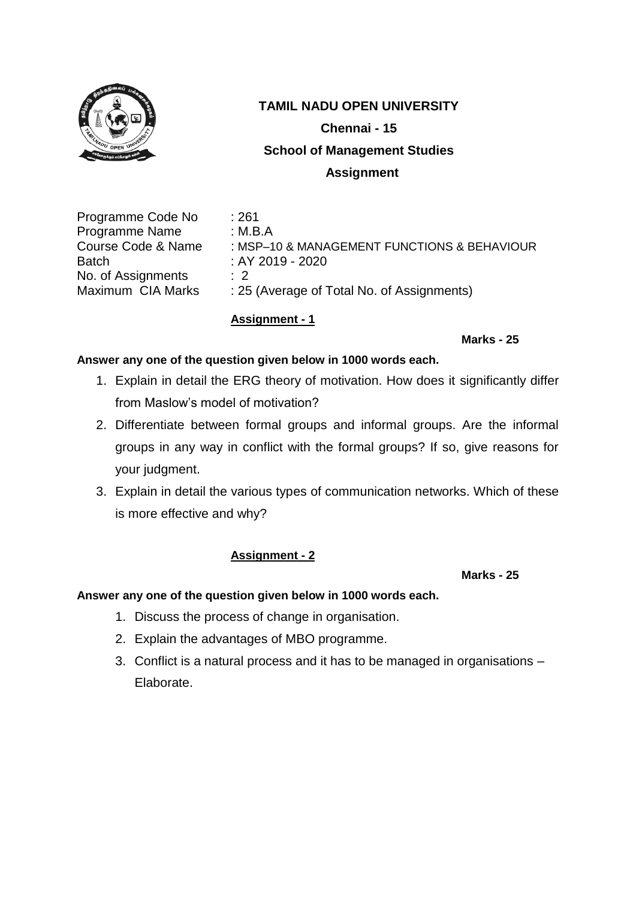

# **TAMIL NADU OPEN UNIVERSITY Chennai - 15 School of Management Studies Assignment**

Programme Code No : 261 Programme Name : M.B.A Batch : AY 2019 - 2020 No. of Assignments : 2

Course Code & Name : MSP-10 & MANAGEMENT FUNCTIONS & BEHAVIOUR Maximum CIA Marks : 25 (Average of Total No. of Assignments)

## **Assignment - 1**

**Marks - 25**

## **Answer any one of the question given below in 1000 words each.**

- 1. Explain in detail the ERG theory of motivation. How does it significantly differ from Maslow's model of motivation?
- 2. Differentiate between formal groups and informal groups. Are the informal groups in any way in conflict with the formal groups? If so, give reasons for your judgment.
- 3. Explain in detail the various types of communication networks. Which of these is more effective and why?

# **Assignment - 2**

**Marks - 25**

- 1. Discuss the process of change in organisation.
- 2. Explain the advantages of MBO programme.
- 3. Conflict is a natural process and it has to be managed in organisations Elaborate.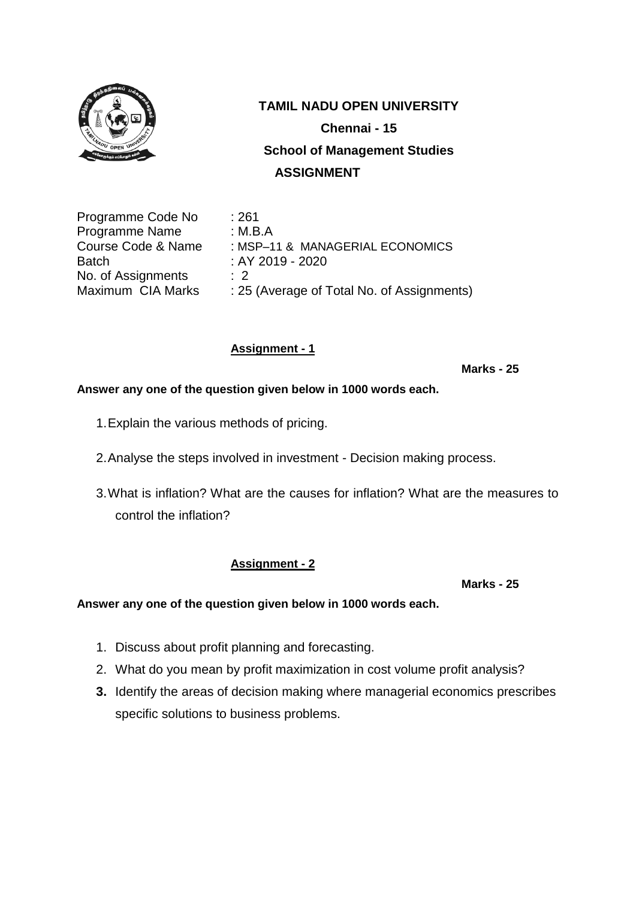

Programme Code No : 261 Programme Name : M.B.A Course Code & Name : MSP–11 & MANAGERIAL ECONOMICS Batch : AY 2019 - 2020 No. of Assignments : 2 Maximum CIA Marks : 25 (Average of Total No. of Assignments)

# **Assignment - 1**

**Marks - 25**

## **Answer any one of the question given below in 1000 words each.**

- 1.Explain the various methods of pricing.
- 2.Analyse the steps involved in investment Decision making process.
- 3.What is inflation? What are the causes for inflation? What are the measures to control the inflation?

## **Assignment - 2**

**Marks - 25**

- 1. Discuss about profit planning and forecasting.
- 2. What do you mean by profit maximization in cost volume profit analysis?
- **3.** Identify the areas of decision making where managerial economics prescribes specific solutions to business problems.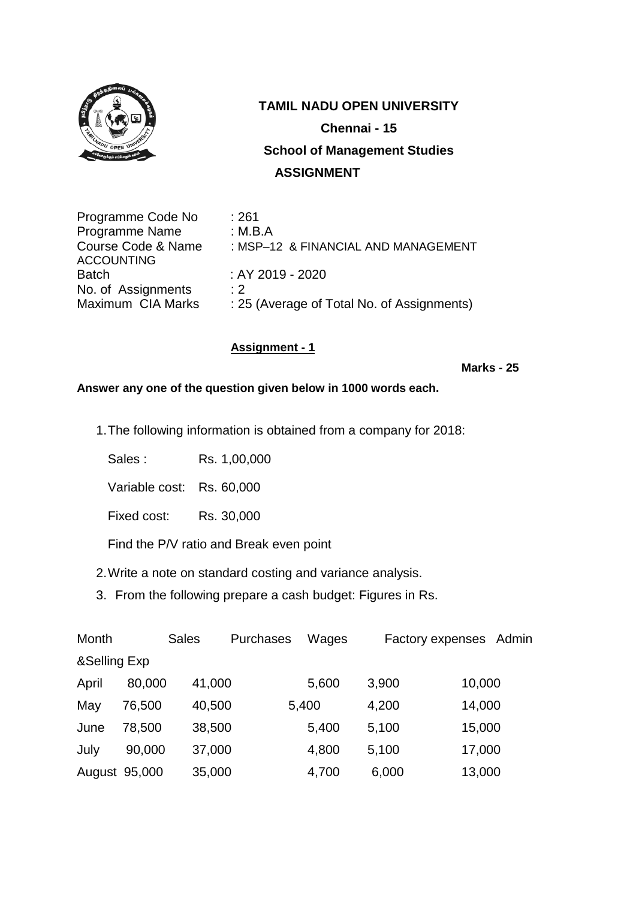

| Programme Code No  | :261                                       |
|--------------------|--------------------------------------------|
| Programme Name     | : M.B.A                                    |
| Course Code & Name | : MSP-12 & FINANCIAL AND MANAGEMENT        |
| <b>ACCOUNTING</b>  |                                            |
| <b>Batch</b>       | $:$ AY 2019 - 2020                         |
| No. of Assignments | $\cdot$ 2                                  |
| Maximum CIA Marks  | : 25 (Average of Total No. of Assignments) |

# **Assignment - 1**

**Marks - 25**

**Answer any one of the question given below in 1000 words each.**

1.The following information is obtained from a company for 2018:

Sales : Rs. 1,00,000

Variable cost: Rs. 60,000

Fixed cost: Rs. 30,000

Find the P/V ratio and Break even point

- 2.Write a note on standard costing and variance analysis.
- 3. From the following prepare a cash budget: Figures in Rs.

| Month         |        | <b>Sales</b> | <b>Purchases</b> | Wages |       | Factory expenses Admin |
|---------------|--------|--------------|------------------|-------|-------|------------------------|
| &Selling Exp  |        |              |                  |       |       |                        |
| April         | 80,000 | 41,000       |                  | 5,600 | 3,900 | 10,000                 |
| May           | 76,500 | 40,500       | 5,400            |       | 4,200 | 14,000                 |
| June          | 78,500 | 38,500       |                  | 5,400 | 5,100 | 15,000                 |
| July          | 90,000 | 37,000       |                  | 4,800 | 5,100 | 17,000                 |
| August 95,000 |        | 35,000       |                  | 4,700 | 6,000 | 13,000                 |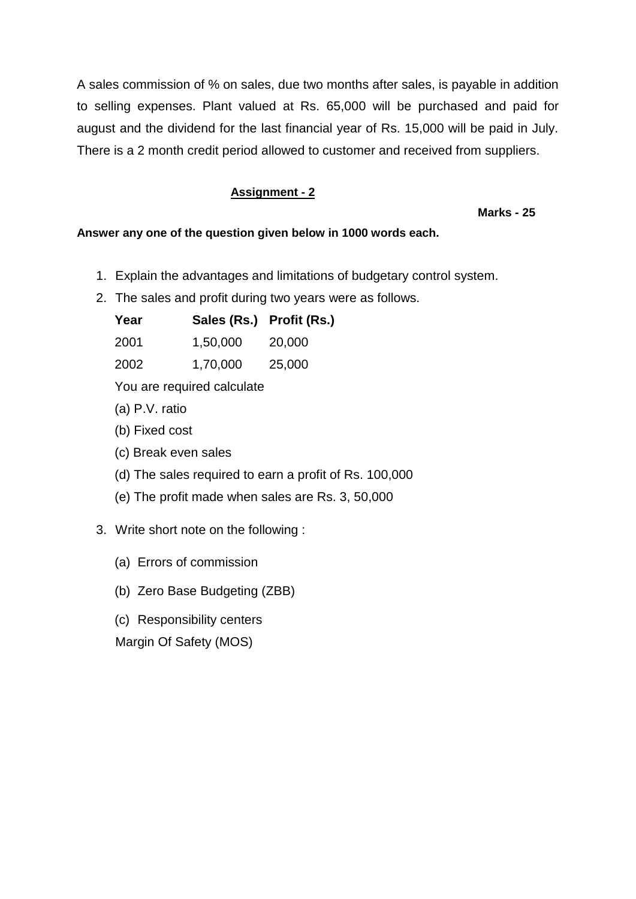A sales commission of % on sales, due two months after sales, is payable in addition to selling expenses. Plant valued at Rs. 65,000 will be purchased and paid for august and the dividend for the last financial year of Rs. 15,000 will be paid in July. There is a 2 month credit period allowed to customer and received from suppliers.

# **Assignment - 2**

### **Marks - 25**

## **Answer any one of the question given below in 1000 words each.**

- 1. Explain the advantages and limitations of budgetary control system.
- 2. The sales and profit during two years were as follows.

| Year | Sales (Rs.) Profit (Rs.) |        |
|------|--------------------------|--------|
| 2001 | 1,50,000                 | 20,000 |
| 2002 | 1,70,000                 | 25,000 |

You are required calculate

- (a) P.V. ratio
- (b) Fixed cost
- (c) Break even sales
- (d) The sales required to earn a profit of Rs. 100,000
- (e) The profit made when sales are Rs. 3, 50,000

# 3. Write short note on the following :

- (a) Errors of commission
- (b) Zero Base Budgeting (ZBB)
- (c) Responsibility centers

Margin Of Safety (MOS)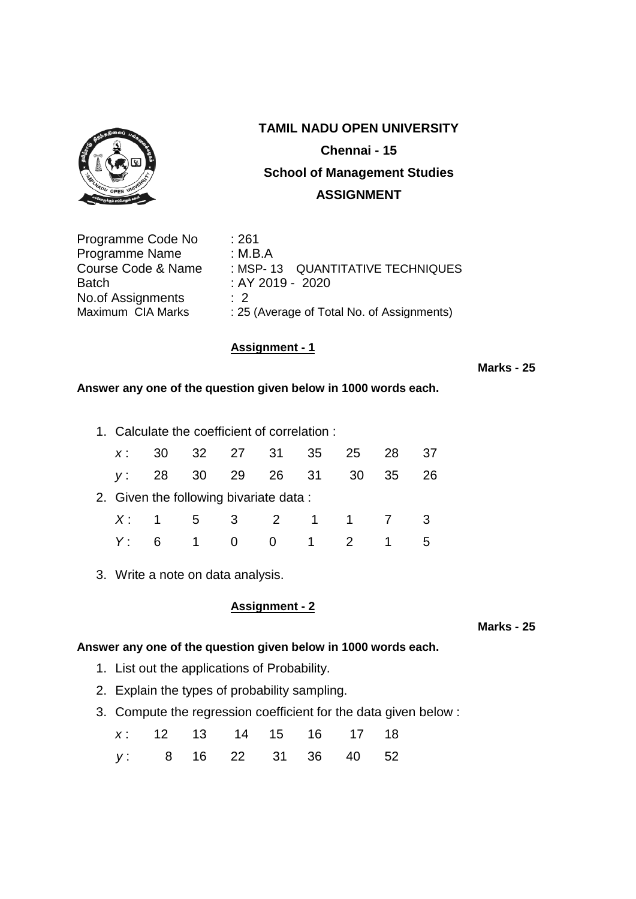

# **TAMIL NADU OPEN UNIVERSITY Chennai - 15 School of Management Studies ASSIGNMENT**

| :261                                       |
|--------------------------------------------|
| : M.B.A                                    |
| : MSP-13 QUANTITATIVE TECHNIQUES           |
| : AY 2019 - 2020                           |
| $\therefore$ 2                             |
| : 25 (Average of Total No. of Assignments) |
|                                            |

## **Assignment - 1**

#### **Marks - 25**

### **Answer any one of the question given below in 1000 words each.**

1. Calculate the coefficient of correlation :

| $X$ : |    |                | 30 32 27 31 35 25 28                   |                     |                | -37 |
|-------|----|----------------|----------------------------------------|---------------------|----------------|-----|
|       |    |                | y: 28 30 29 26 31 30                   |                     | 35             | 26  |
|       |    |                | 2. Given the following bivariate data: |                     |                |     |
|       |    |                | X: 1 5 3 2 1 1 7 3                     |                     |                |     |
|       | 6. | $\overline{1}$ | $\overline{0}$                         | $0 \quad 1 \quad 2$ | $\overline{1}$ |     |

3. Write a note on data analysis.

## **Assignment - 2**

# **Answer any one of the question given below in 1000 words each.**

- 1. List out the applications of Probability.
- 2. Explain the types of probability sampling.
- 3. Compute the regression coefficient for the data given below :

|                        |  | x: 12 13 14 15 16 17 18 |  |  |
|------------------------|--|-------------------------|--|--|
| y: 8 16 22 31 36 40 52 |  |                         |  |  |

 **Marks - 25**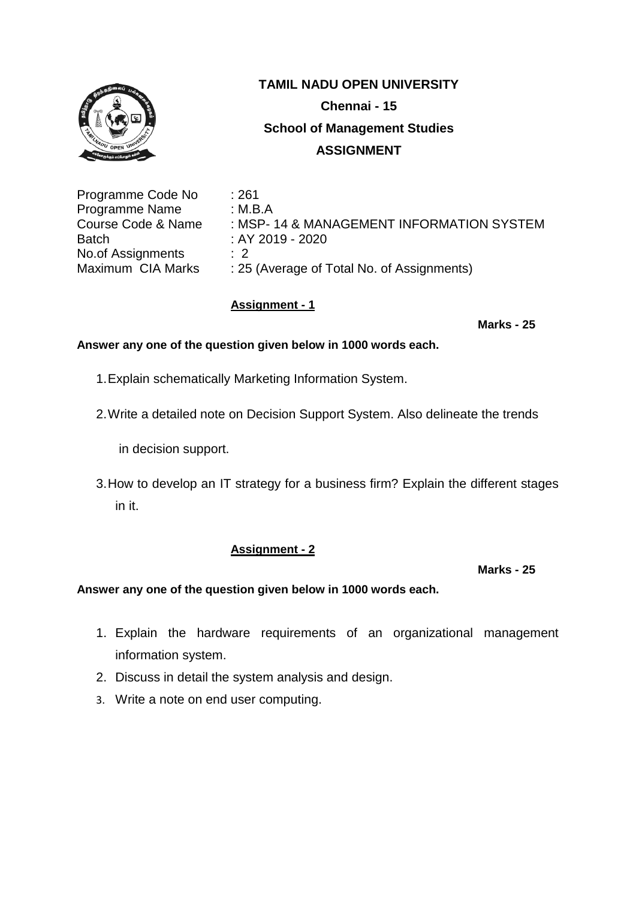

| : MSP- 14 & MANAGEMENT INFORMATION SYSTEM |
|-------------------------------------------|
|                                           |
|                                           |
|                                           |
|                                           |

## **Assignment - 1**

 **Marks - 25**

## **Answer any one of the question given below in 1000 words each.**

- 1.Explain schematically Marketing Information System.
- 2.Write a detailed note on Decision Support System. Also delineate the trends

in decision support.

3.How to develop an IT strategy for a business firm? Explain the different stages in it.

# **Assignment - 2**

#### **Marks - 25**

- 1. Explain the hardware requirements of an organizational management information system.
- 2. Discuss in detail the system analysis and design.
- 3. Write a note on end user computing.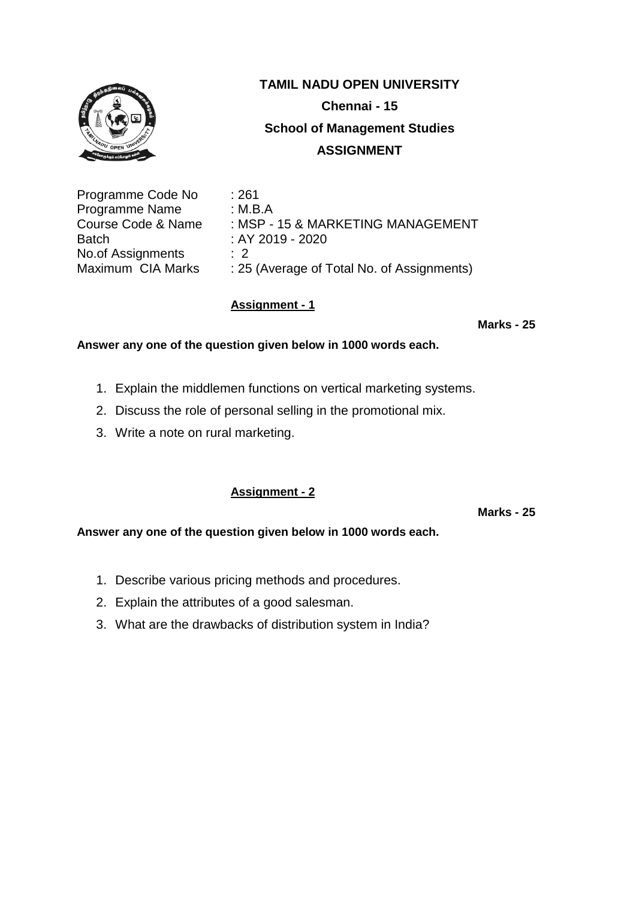

| : 261                                      |
|--------------------------------------------|
| : M.B.A                                    |
| : MSP - 15 & MARKETING MANAGEMENT          |
| : AY 2019 - 2020                           |
| $\cdot$ 2                                  |
| : 25 (Average of Total No. of Assignments) |
|                                            |

## **Assignment - 1**

 **Marks - 25**

### **Answer any one of the question given below in 1000 words each.**

- 1. Explain the middlemen functions on vertical marketing systems.
- 2. Discuss the role of personal selling in the promotional mix.
- 3. Write a note on rural marketing.

# **Assignment - 2**

 **Marks - 25**

- 1. Describe various pricing methods and procedures.
- 2. Explain the attributes of a good salesman.
- 3. What are the drawbacks of distribution system in India?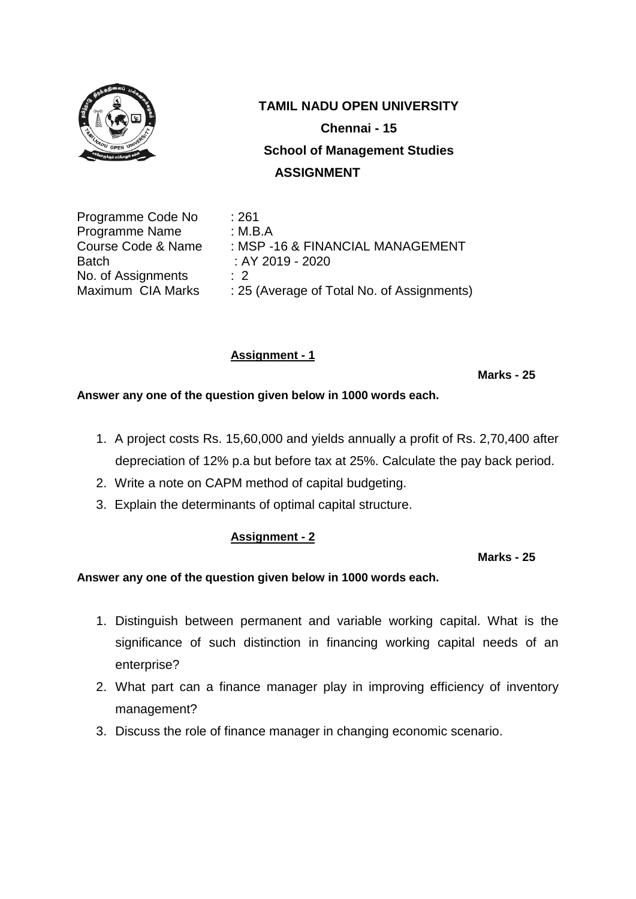

Programme Code No : 261 Programme Name : M.B.A Course Code & Name : MSP -16 & FINANCIAL MANAGEMENT Batch : AY 2019 - 2020 No. of Assignments : 2 Maximum CIA Marks : 25 (Average of Total No. of Assignments)

# **Assignment - 1**

#### **Marks - 25**

**Answer any one of the question given below in 1000 words each.**

- 1. A project costs Rs. 15,60,000 and yields annually a profit of Rs. 2,70,400 after depreciation of 12% p.a but before tax at 25%. Calculate the pay back period.
- 2. Write a note on CAPM method of capital budgeting.
- 3. Explain the determinants of optimal capital structure.

## **Assignment - 2**

 **Marks - 25**

- 1. Distinguish between permanent and variable working capital. What is the significance of such distinction in financing working capital needs of an enterprise?
- 2. What part can a finance manager play in improving efficiency of inventory management?
- 3. Discuss the role of finance manager in changing economic scenario.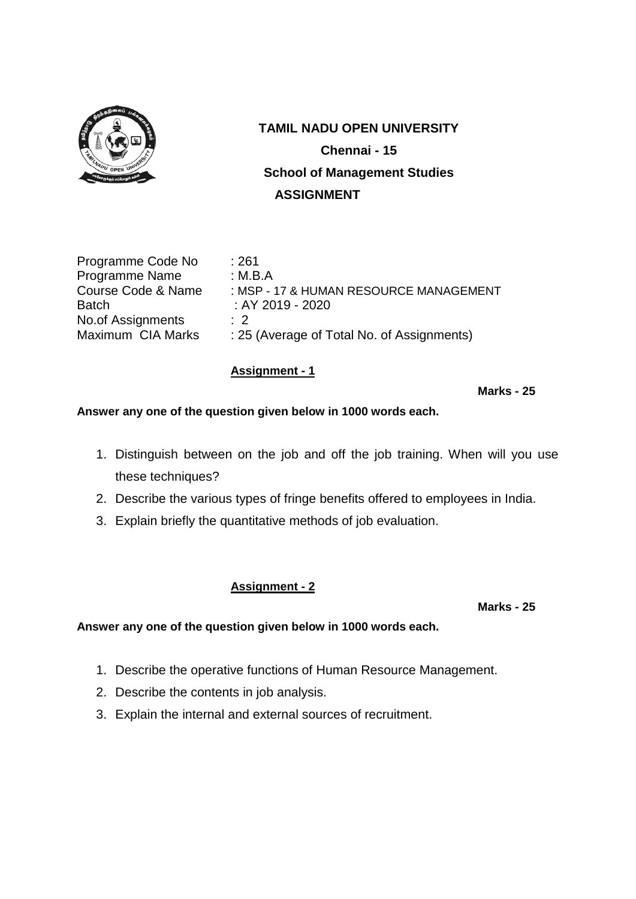

| Programme Code No             | : 261          |
|-------------------------------|----------------|
| Programme Name                | : M.B.A        |
| <b>Course Code &amp; Name</b> | : MSP -        |
| <b>Batch</b>                  | :AY20          |
| No.of Assignments             | $\therefore$ 2 |
| Maximum CIA Marks             | : 25 (Av       |

SP - 17 & HUMAN RESOURCE MANAGEMENT  $Y 2019 - 2020$ (Average of Total No. of Assignments)

## **Assignment - 1**

 **Marks - 25**

**Answer any one of the question given below in 1000 words each.**

- 1. Distinguish between on the job and off the job training. When will you use these techniques?
- 2. Describe the various types of fringe benefits offered to employees in India.
- 3. Explain briefly the quantitative methods of job evaluation.

# **Assignment - 2**

 **Marks - 25**

- 1. Describe the operative functions of Human Resource Management.
- 2. Describe the contents in job analysis.
- 3. Explain the internal and external sources of recruitment.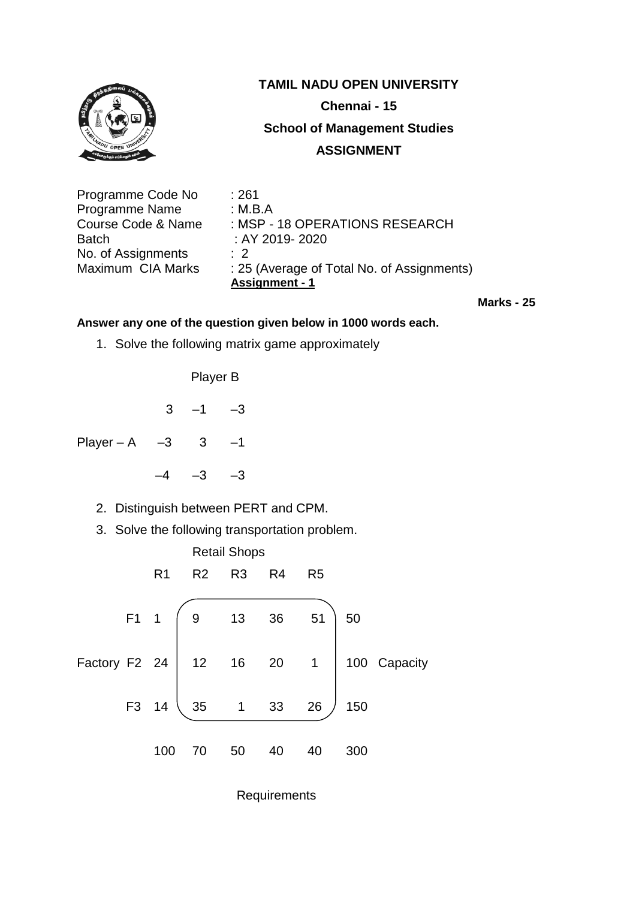

| Programme Code No  | : 261                                      |
|--------------------|--------------------------------------------|
| Programme Name     | : M.B.A                                    |
| Course Code & Name | : MSP - 18 OPERATIONS RESEARCH             |
| Batch              | : AY 2019-2020                             |
| No. of Assignments | $\cdot$ 2                                  |
| Maximum CIA Marks  | : 25 (Average of Total No. of Assignments) |
|                    | <b>Assignment - 1</b>                      |

 **Marks - 25**

## **Answer any one of the question given below in 1000 words each.**

1. Solve the following matrix game approximately

Player B

 $3 -1 -3$ 

Player – A – 3  $3 - 1$ 

 $-4$   $-3$   $-3$ 

- 2. Distinguish between PERT and CPM.
- 3. Solve the following transportation problem.



**Requirements**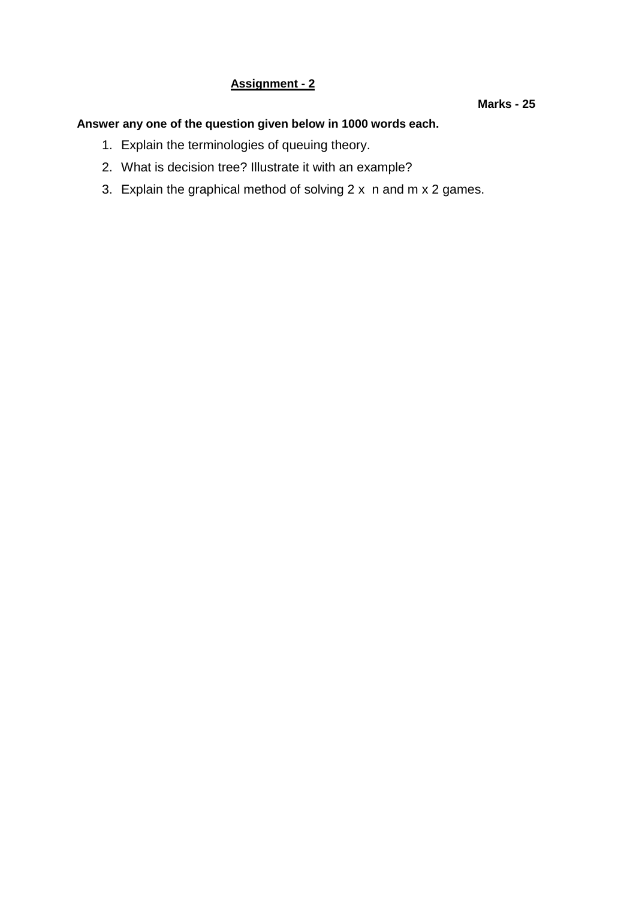# **Assignment - 2**

#### **Marks - 25**

- 1. Explain the terminologies of queuing theory.
- 2. What is decision tree? Illustrate it with an example?
- 3. Explain the graphical method of solving 2 x n and m x 2 games.